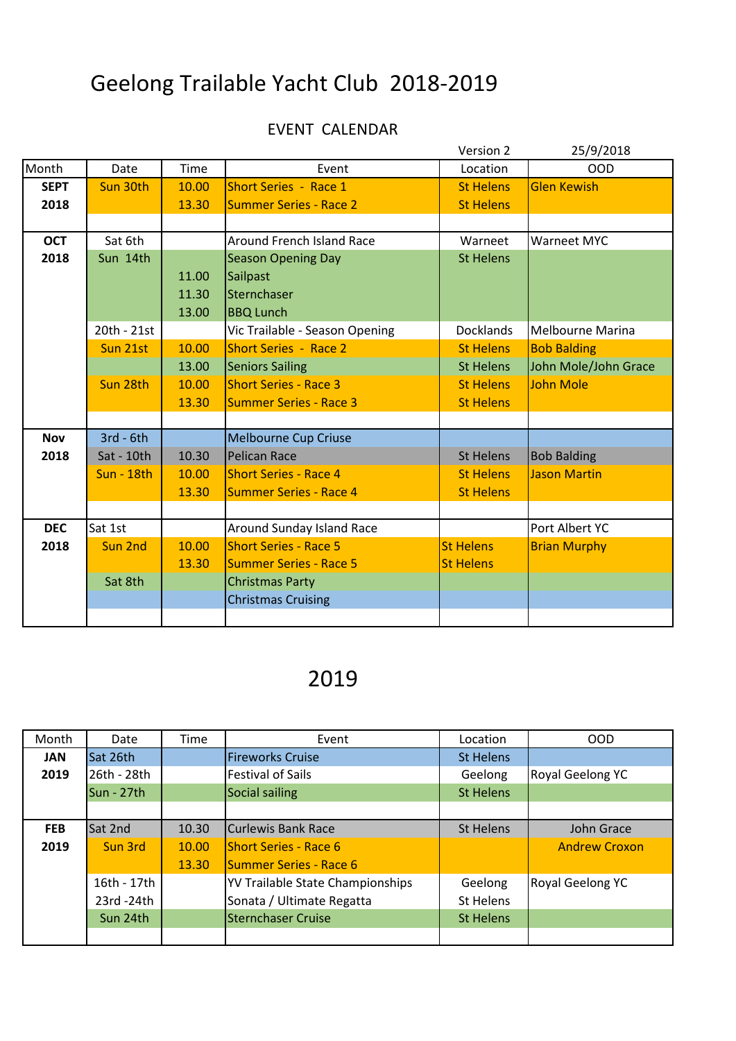## Geelong Trailable Yacht Club 2018-2019

## EVENT CALENDAR

|             |                   |       |                                  | Version 2        | 25/9/2018               |
|-------------|-------------------|-------|----------------------------------|------------------|-------------------------|
| Month       | Date              | Time  | Event                            | Location         | <b>OOD</b>              |
| <b>SEPT</b> | Sun 30th          | 10.00 | <b>Short Series - Race 1</b>     | <b>St Helens</b> | <b>Glen Kewish</b>      |
| 2018        |                   | 13.30 | <b>Summer Series - Race 2</b>    | <b>St Helens</b> |                         |
|             |                   |       |                                  |                  |                         |
| <b>OCT</b>  | Sat 6th           |       | <b>Around French Island Race</b> | Warneet          | Warneet MYC             |
| 2018        | Sun 14th          |       | <b>Season Opening Day</b>        | <b>St Helens</b> |                         |
|             |                   | 11.00 | Sailpast                         |                  |                         |
|             |                   | 11.30 | Sternchaser                      |                  |                         |
|             |                   | 13.00 | <b>BBQ Lunch</b>                 |                  |                         |
|             | 20th - 21st       |       | Vic Trailable - Season Opening   | <b>Docklands</b> | <b>Melbourne Marina</b> |
|             | Sun 21st          | 10.00 | <b>Short Series - Race 2</b>     | <b>St Helens</b> | <b>Bob Balding</b>      |
|             |                   | 13.00 | <b>Seniors Sailing</b>           | <b>St Helens</b> | John Mole/John Grace    |
|             | Sun 28th          | 10.00 | <b>Short Series - Race 3</b>     | <b>St Helens</b> | <b>John Mole</b>        |
|             |                   | 13.30 | <b>Summer Series - Race 3</b>    | <b>St Helens</b> |                         |
|             |                   |       |                                  |                  |                         |
| <b>Nov</b>  | $3rd - 6th$       |       | <b>Melbourne Cup Criuse</b>      |                  |                         |
| 2018        | Sat - 10th        | 10.30 | <b>Pelican Race</b>              | <b>St Helens</b> | <b>Bob Balding</b>      |
|             | <b>Sun - 18th</b> | 10.00 | <b>Short Series - Race 4</b>     | <b>St Helens</b> | <b>Jason Martin</b>     |
|             |                   | 13.30 | <b>Summer Series - Race 4</b>    | <b>St Helens</b> |                         |
|             |                   |       |                                  |                  |                         |
| <b>DEC</b>  | Sat 1st           |       | Around Sunday Island Race        |                  | Port Albert YC          |
| 2018        | Sun 2nd           | 10.00 | <b>Short Series - Race 5</b>     | <b>St Helens</b> | <b>Brian Murphy</b>     |
|             |                   | 13.30 | <b>Summer Series - Race 5</b>    | <b>St Helens</b> |                         |
|             | Sat 8th           |       | <b>Christmas Party</b>           |                  |                         |
|             |                   |       | <b>Christmas Cruising</b>        |                  |                         |
|             |                   |       |                                  |                  |                         |

## 2019

| Month      | Date        | Time  | Event                                   | Location         | <b>OOD</b>           |
|------------|-------------|-------|-----------------------------------------|------------------|----------------------|
| <b>JAN</b> | Sat 26th    |       | <b>Fireworks Cruise</b>                 | <b>St Helens</b> |                      |
| 2019       | 26th - 28th |       | <b>Festival of Sails</b>                | Geelong          | Royal Geelong YC     |
|            | Sun - 27th  |       | Social sailing                          | <b>St Helens</b> |                      |
|            |             |       |                                         |                  |                      |
| <b>FEB</b> | Sat 2nd     | 10.30 | Curlewis Bank Race                      | <b>St Helens</b> | John Grace           |
| 2019       | Sun 3rd     | 10.00 | <b>Short Series - Race 6</b>            |                  | <b>Andrew Croxon</b> |
|            |             | 13.30 | Summer Series - Race 6                  |                  |                      |
|            | 16th - 17th |       | <b>YV Trailable State Championships</b> | Geelong          | Royal Geelong YC     |
|            | 23rd -24th  |       | Sonata / Ultimate Regatta               | St Helens        |                      |
|            | Sun 24th    |       | <b>Sternchaser Cruise</b>               | <b>St Helens</b> |                      |
|            |             |       |                                         |                  |                      |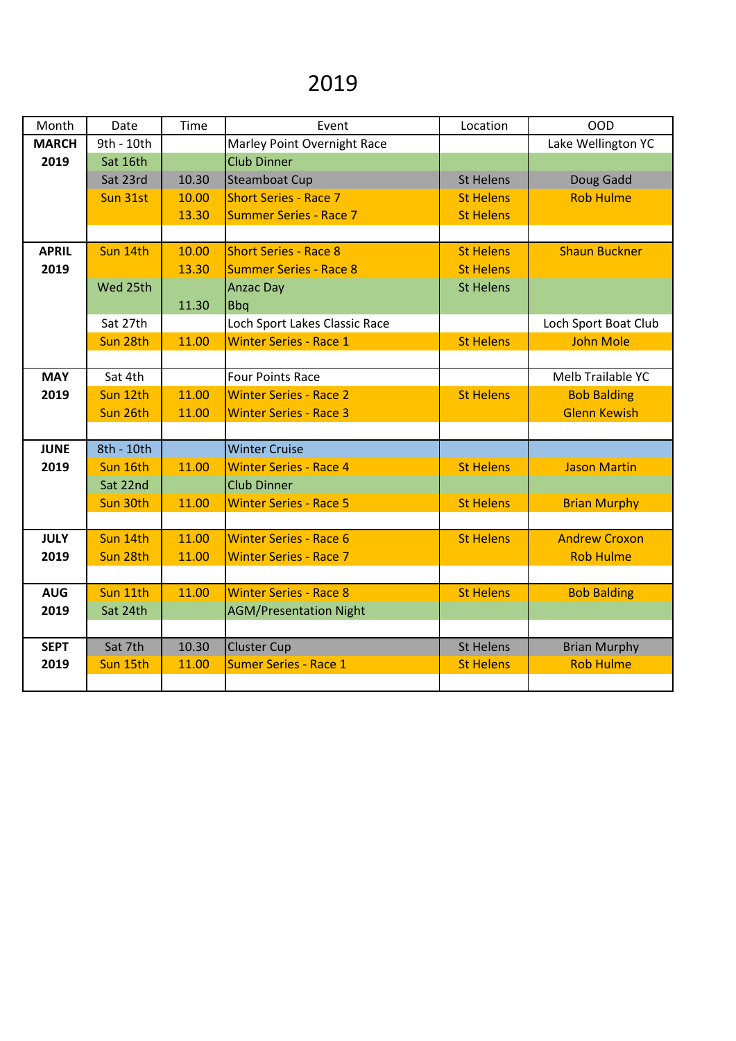## 2019

| Month        | Date       | Time  | Event                         | Location         | <b>OOD</b>           |
|--------------|------------|-------|-------------------------------|------------------|----------------------|
| <b>MARCH</b> | 9th - 10th |       | Marley Point Overnight Race   |                  | Lake Wellington YC   |
| 2019         | Sat 16th   |       | <b>Club Dinner</b>            |                  |                      |
|              | Sat 23rd   | 10.30 | <b>Steamboat Cup</b>          | <b>St Helens</b> | Doug Gadd            |
|              | Sun 31st   | 10.00 | <b>Short Series - Race 7</b>  | <b>St Helens</b> | <b>Rob Hulme</b>     |
|              |            | 13.30 | <b>Summer Series - Race 7</b> | <b>St Helens</b> |                      |
|              |            |       |                               |                  |                      |
| <b>APRIL</b> | Sun 14th   | 10.00 | <b>Short Series - Race 8</b>  | <b>St Helens</b> | <b>Shaun Buckner</b> |
| 2019         |            | 13.30 | <b>Summer Series - Race 8</b> | <b>St Helens</b> |                      |
|              | Wed 25th   |       | <b>Anzac Day</b>              | <b>St Helens</b> |                      |
|              |            | 11.30 | <b>Bbq</b>                    |                  |                      |
|              | Sat 27th   |       | Loch Sport Lakes Classic Race |                  | Loch Sport Boat Club |
|              | Sun 28th   | 11.00 | <b>Winter Series - Race 1</b> | <b>St Helens</b> | <b>John Mole</b>     |
|              |            |       |                               |                  |                      |
| <b>MAY</b>   | Sat 4th    |       | <b>Four Points Race</b>       |                  | Melb Trailable YC    |
| 2019         | Sun 12th   | 11.00 | <b>Winter Series - Race 2</b> | <b>St Helens</b> | <b>Bob Balding</b>   |
|              | Sun 26th   | 11.00 | <b>Winter Series - Race 3</b> |                  | <b>Glenn Kewish</b>  |
|              |            |       |                               |                  |                      |
| <b>JUNE</b>  | 8th - 10th |       | <b>Winter Cruise</b>          |                  |                      |
| 2019         | Sun 16th   | 11.00 | <b>Winter Series - Race 4</b> | <b>St Helens</b> | <b>Jason Martin</b>  |
|              | Sat 22nd   |       | <b>Club Dinner</b>            |                  |                      |
|              | Sun 30th   | 11.00 | <b>Winter Series - Race 5</b> | <b>St Helens</b> | <b>Brian Murphy</b>  |
|              |            |       |                               |                  |                      |
| <b>JULY</b>  | Sun 14th   | 11.00 | <b>Winter Series - Race 6</b> | <b>St Helens</b> | <b>Andrew Croxon</b> |
| 2019         | Sun 28th   | 11.00 | <b>Winter Series - Race 7</b> |                  | <b>Rob Hulme</b>     |
|              |            |       |                               |                  |                      |
| <b>AUG</b>   | Sun 11th   | 11.00 | <b>Winter Series - Race 8</b> | <b>St Helens</b> | <b>Bob Balding</b>   |
| 2019         | Sat 24th   |       | <b>AGM/Presentation Night</b> |                  |                      |
|              |            |       |                               |                  |                      |
| <b>SEPT</b>  | Sat 7th    | 10.30 | <b>Cluster Cup</b>            | <b>St Helens</b> | <b>Brian Murphy</b>  |
| 2019         | Sun 15th   | 11.00 | <b>Sumer Series - Race 1</b>  | <b>St Helens</b> | <b>Rob Hulme</b>     |
|              |            |       |                               |                  |                      |